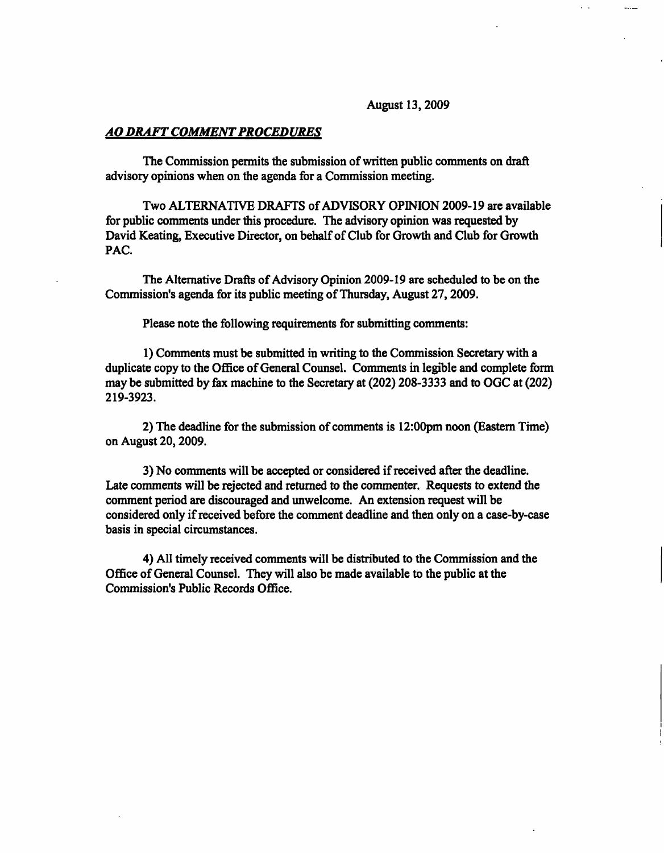#### August 13,2009

#### AO DRAFT COMMENT PROCEDURES

The Commission permits the submission of written public comments on draft advisory opinions when on the agenda for a Commission meeting.

Two ALTERNATIVE DRAFTS of ADVISORY OPINION 2009-19 are available for public comments under this procedure. The advisory opinion was requested by David Keating, Executive Director, on behalf of Club for Growth and Club for Growth PAC.

The Alternative Drafts of Advisory Opinion 2009-19 are scheduled to be on the Commission's agenda for its public meeting of Thursday, August 27,2009.

Please note the following requirements for submitting comments:

1) Comments must be submitted in writing to the Commission Secretary with a duplicate copy to the Office of General Counsel. Comments in legible and complete form may be submitted by fax machine to the Secretary at (202) 208-3333 and to OGC at (202) 219-3923.

2) The deadline for the submission of comments is 12:00pm noon (Eastern Time) on August 20,2009.

3) No comments will be accepted or considered if received after the deadline. Late comments will be rejected and returned to the commenter. Requests to extend the comment period are discouraged and unwelcome. An extension request will be considered only if received before the comment deadline and then only on a case-by-case basis in special circumstances.

4) All timely received comments will be distributed to the Commission and the Office of General Counsel. They will also be made available to the public at the Commission's Public Records Office.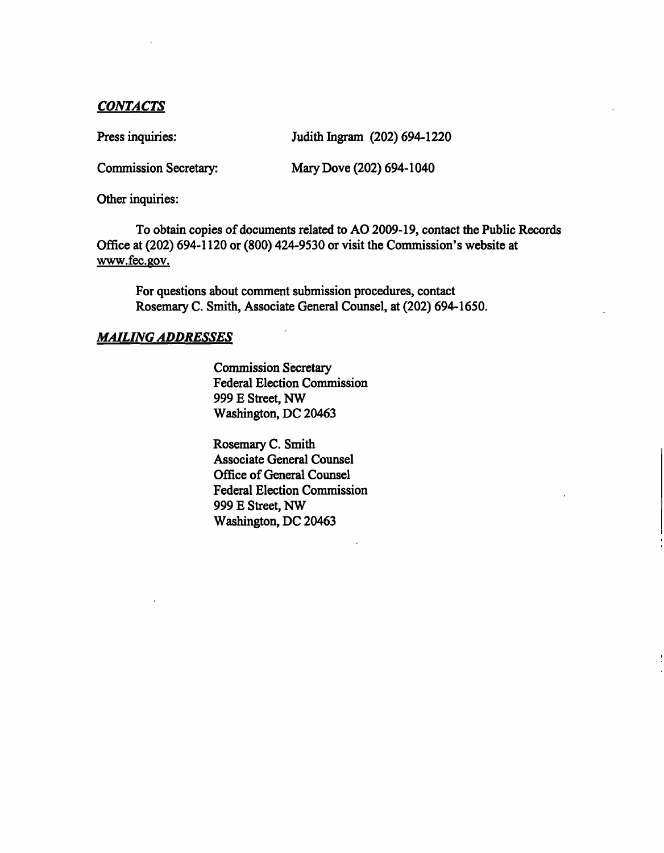## CONTACTS

Press inquiries: Judith Ingram (202) 694-1220

Commission Secretary: Mary Dove (202) 694-1040

Other inquiries:

To obtain copies of documents related to AO 2009-19, contact the Public Records Office at (202) 694-1120 or (800) 424-9530 or visit the Commission's website at www.fec.gov.

For questions about comment submission procedures, contact Rosemary C. Smith, Associate General Counsel, at (202) 694-1650.

## MAILING ADDRESSES

Commission Secretary Federal Election Commission 999 E Street, NW Washington, DC 20463

Rosemary C. Smith Associate General Counsel Office of General Counsel Federal Election Commission 999 E Street, NW Washington, DC 20463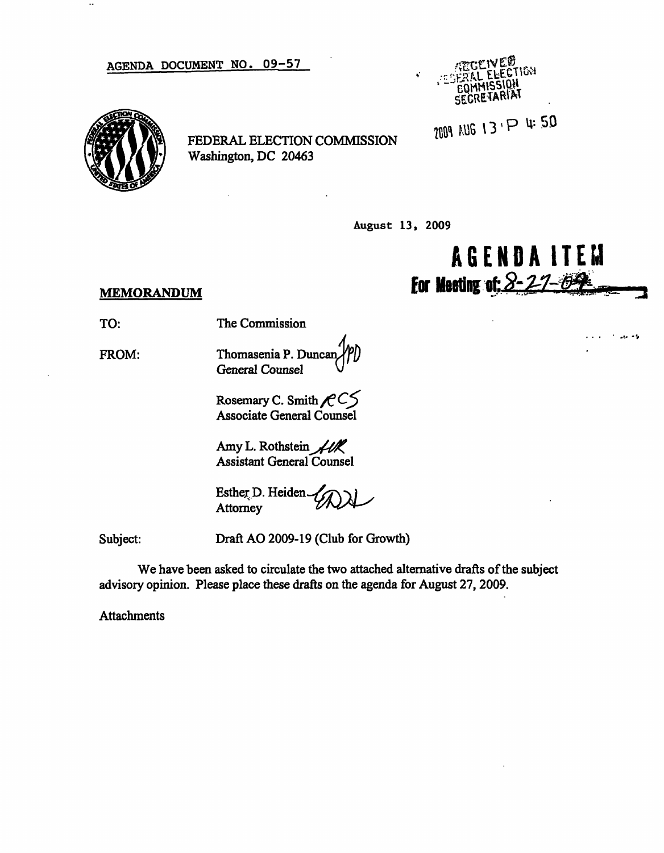AGENDA DOCUMENT NO. 09-57



 $\ddotsc$ 

FEDERAL ELECTION COMMISSION Washington, DC 20463

August 13, 2009



 $10 - 12$ 

### **MEMORANDUM**

TO: The Commission

> Thomasenia P. Dune General Counsel

> > Rosemary C. Smith  $\mathcal{R}$  CS Associate General Counsel

Amy L. Rothstein  $\mathcal{H}$ Assistant General Counsel

Esther D. Heiden. **Attorney** 

Subject:

FROM:

Draft AO 2009-19 (Club for Growth)

We have been asked to circulate the two attached alternative drafts of the subject advisory opinion. Please place these drafts on the agenda for August 27, 2009.

Attachments

SECRETARIAT

2009 AUG 13 P 4:50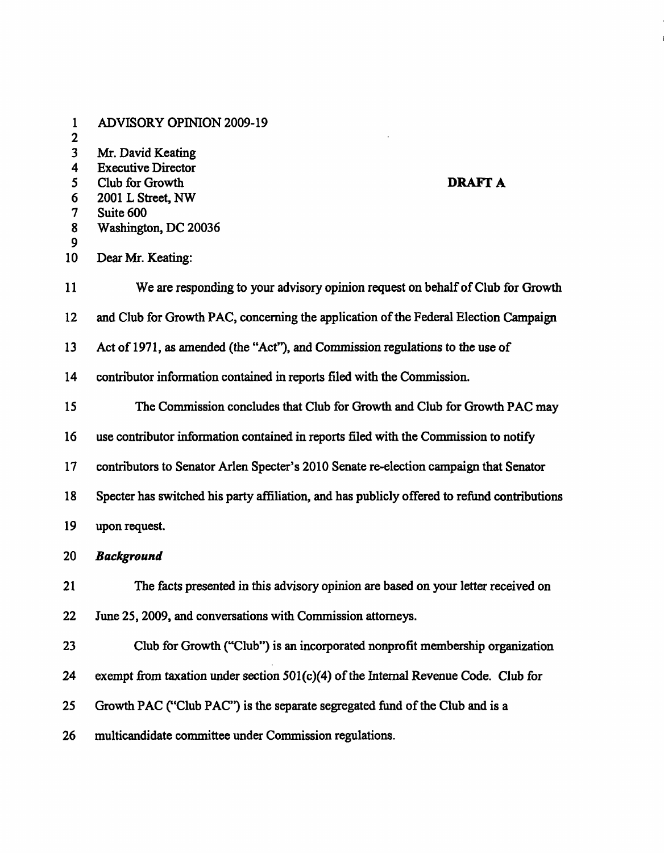- 1 ADVISORY OPINION 2009-19
- 2
- 3 Mr. David Keating
- 4 Executive Director
- 5 Club for Growth **DRAFT A**
- 6 2001 L Street, NW
- 7 Suite 600
- 8 Washington, DC 20036
- 9
- 10 Dear Mr. Keating:
- 11 We are responding to your advisory opinion request on behalf of Club for Growth
- 12 and Club for Growth PAC, concerning the application of the Federal Election Campaign
- 13 Act of 1971, as amended (the "Act"), and Commission regulations to the use of
- 14 contributor information contained in reports filed with the Commission.
- 15 The Commission concludes that Club for Growth and Club for Growth PAC may
- 16 use contributor information contained in reports filed with the Commission to notify
- 17 contributors to Senator Arlen Specter's 2010 Senate re-election campaign that Senator
- 18 Specter has switched his party affiliation, and has publicly offered to refund contributions
- 19 upon request.
- 20 Background
- 21 The facts presented in this advisory opinion are based on your letter received on 22 June 25, 2009, and conversations with Commission attorneys.
- 23 Club for Growth ("Club") is an incorporated nonprofit membership organization
- 24 exempt from taxation under section 501(c)(4) of the Internal Revenue Code. Club for
- 25 Growth PAC ("Club PAC") is the separate segregated fund of the Club and is a
- 26 multicandidate committee under Commission regulations.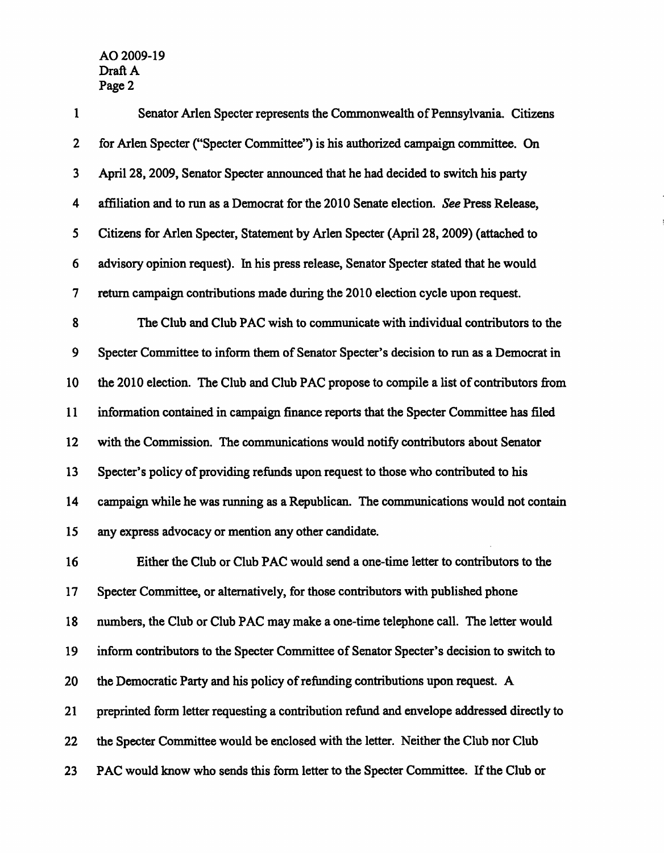| $\mathbf{1}$ | Senator Arlen Specter represents the Commonwealth of Pennsylvania. Citizens                |
|--------------|--------------------------------------------------------------------------------------------|
| $\mathbf{2}$ | for Arlen Specter ("Specter Committee") is his authorized campaign committee. On           |
| 3            | April 28, 2009, Senator Specter announced that he had decided to switch his party          |
| 4            | affiliation and to run as a Democrat for the 2010 Senate election. See Press Release,      |
| 5            | Citizens for Arlen Specter, Statement by Arlen Specter (April 28, 2009) (attached to       |
| 6            | advisory opinion request). In his press release, Senator Specter stated that he would      |
| 7            | return campaign contributions made during the 2010 election cycle upon request.            |
| 8            | The Club and Club PAC wish to communicate with individual contributors to the              |
| 9            | Specter Committee to inform them of Senator Specter's decision to run as a Democrat in     |
| 10           | the 2010 election. The Club and Club PAC propose to compile a list of contributors from    |
| 11           | information contained in campaign finance reports that the Specter Committee has filed     |
| 12           | with the Commission. The communications would notify contributors about Senator            |
| 13           | Specter's policy of providing refunds upon request to those who contributed to his         |
| 14           | campaign while he was running as a Republican. The communications would not contain        |
| 15           | any express advocacy or mention any other candidate.                                       |
| 16           | Either the Club or Club PAC would send a one-time letter to contributors to the            |
| 17           | Specter Committee, or alternatively, for those contributors with published phone           |
| 18           | numbers, the Club or Club PAC may make a one-time telephone call. The letter would         |
| 19           | inform contributors to the Specter Committee of Senator Specter's decision to switch to    |
| 20           | the Democratic Party and his policy of refunding contributions upon request. A             |
| 21           | preprinted form letter requesting a contribution refund and envelope addressed directly to |
| 22           | the Specter Committee would be enclosed with the letter. Neither the Club nor Club         |
| 23           | PAC would know who sends this form letter to the Specter Committee. If the Club or         |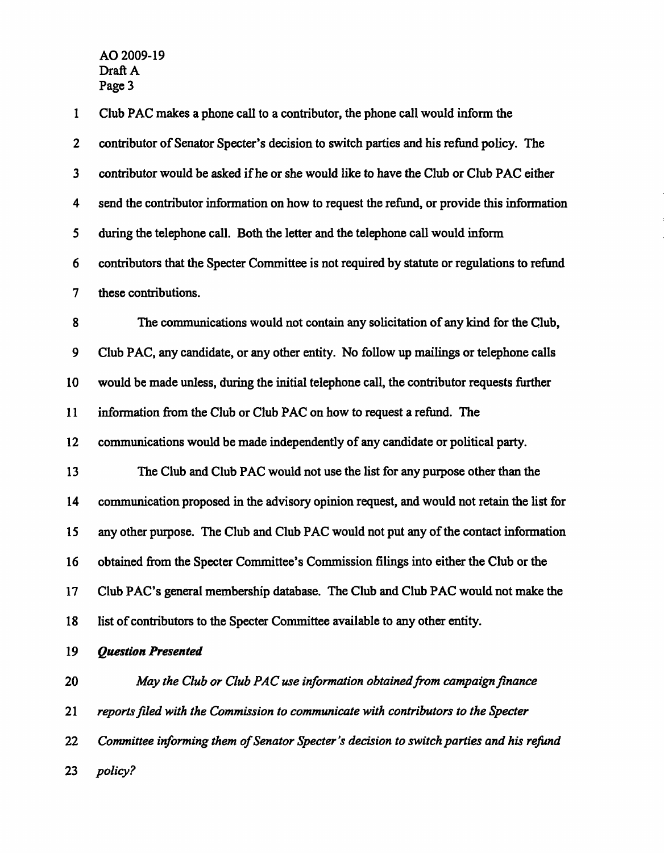| 1                       | Club PAC makes a phone call to a contributor, the phone call would inform the               |
|-------------------------|---------------------------------------------------------------------------------------------|
| $\mathbf{2}$            | contributor of Senator Specter's decision to switch parties and his refund policy. The      |
| $\mathbf{3}$            | contributor would be asked if he or she would like to have the Club or Club PAC either      |
| $\overline{\mathbf{4}}$ | send the contributor information on how to request the refund, or provide this information  |
| 5                       | during the telephone call. Both the letter and the telephone call would inform              |
| 6                       | contributors that the Specter Committee is not required by statute or regulations to refund |
| 7                       | these contributions.                                                                        |
| 8                       | The communications would not contain any solicitation of any kind for the Club,             |
| 9                       | Club PAC, any candidate, or any other entity. No follow up mailings or telephone calls      |
| 10                      | would be made unless, during the initial telephone call, the contributor requests further   |
| 11                      | information from the Club or Club PAC on how to request a refund. The                       |
| 12                      | communications would be made independently of any candidate or political party.             |
| 13                      | The Club and Club PAC would not use the list for any purpose other than the                 |
| 14                      | communication proposed in the advisory opinion request, and would not retain the list for   |
| 15                      | any other purpose. The Club and Club PAC would not put any of the contact information       |
| 16                      | obtained from the Specter Committee's Commission filings into either the Club or the        |
| 17                      | Club PAC's general membership database. The Club and Club PAC would not make the            |
| 18                      | list of contributors to the Specter Committee available to any other entity.                |
| 19                      | <b>Question Presented</b>                                                                   |
| 20                      | May the Club or Club PAC use information obtained from campaign finance                     |
| 21                      | reports filed with the Commission to communicate with contributors to the Specter           |
| 22                      | Committee informing them of Senator Specter's decision to switch parties and his refund     |
| 23                      | policy?                                                                                     |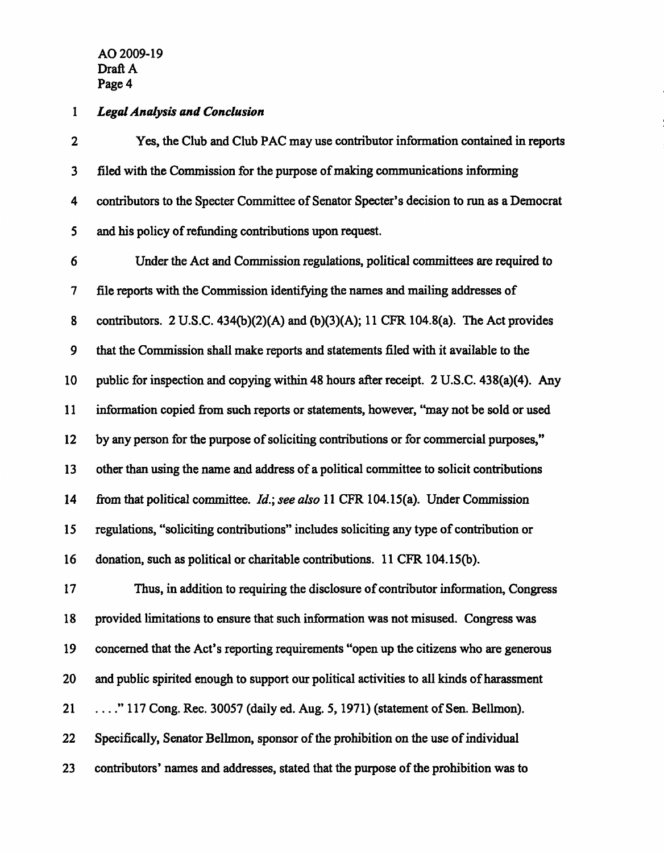# 1 Legal Analysis and Conclusion

| $\mathbf{2}$     | Yes, the Club and Club PAC may use contributor information contained in reports           |
|------------------|-------------------------------------------------------------------------------------------|
| $\mathbf{3}$     | filed with the Commission for the purpose of making communications informing              |
| 4                | contributors to the Specter Committee of Senator Specter's decision to run as a Democrat  |
| 5                | and his policy of refunding contributions upon request.                                   |
| 6                | Under the Act and Commission regulations, political committees are required to            |
| $\boldsymbol{7}$ | file reports with the Commission identifying the names and mailing addresses of           |
| 8                | contributors. 2 U.S.C. 434(b)(2)(A) and (b)(3)(A); 11 CFR 104.8(a). The Act provides      |
| 9                | that the Commission shall make reports and statements filed with it available to the      |
| 10               | public for inspection and copying within 48 hours after receipt. 2 U.S.C. 438(a)(4). Any  |
| 11               | information copied from such reports or statements, however, "may not be sold or used     |
| 12               | by any person for the purpose of soliciting contributions or for commercial purposes,"    |
| 13               | other than using the name and address of a political committee to solicit contributions   |
| 14               | from that political committee. Id.; see also 11 CFR 104.15(a). Under Commission           |
| 15               | regulations, "soliciting contributions" includes soliciting any type of contribution or   |
| 16               | donation, such as political or charitable contributions. 11 CFR 104.15(b).                |
| 17               | Thus, in addition to requiring the disclosure of contributor information, Congress        |
| 18               | provided limitations to ensure that such information was not misused. Congress was        |
| 19               | concerned that the Act's reporting requirements "open up the citizens who are generous    |
| 20               | and public spirited enough to support our political activities to all kinds of harassment |
| 21               | " 117 Cong. Rec. 30057 (daily ed. Aug. 5, 1971) (statement of Sen. Bellmon).              |
| 22               | Specifically, Senator Bellmon, sponsor of the prohibition on the use of individual        |
| 23               | contributors' names and addresses, stated that the purpose of the prohibition was to      |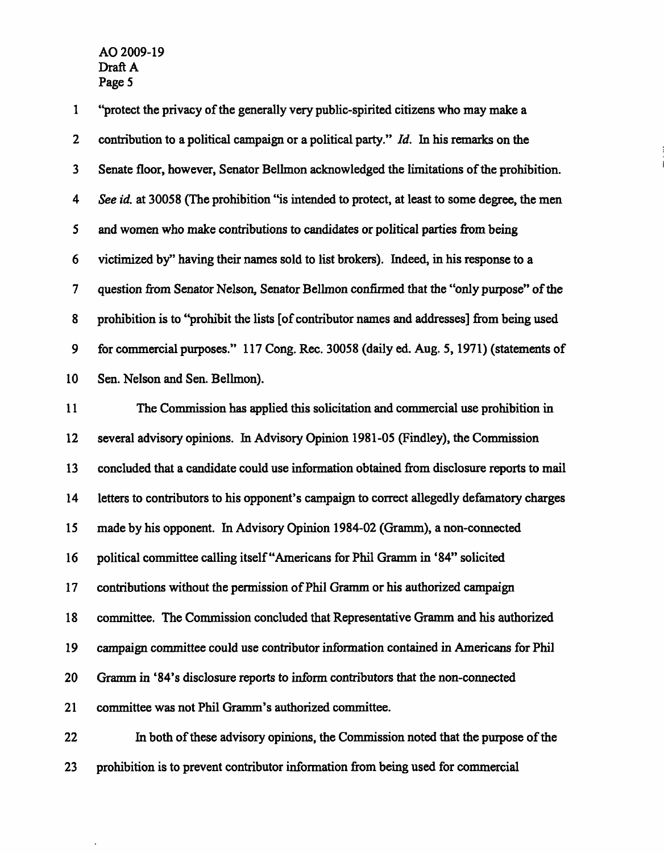1 "protect the privacy of the generally very public-spirited citizens who may make a 2 contribution to a political campaign or a political party." Id. In his remarks on the 3 Senate floor, however, Senator Bellmon acknowledged the limitations of the prohibition. 4 See id. at 30058 (The prohibition "is intended to protect, at least to some degree, the men 5 and women who make contributions to candidates or political parties from being 6 victimized by" having their names sold to list brokers). Indeed, in his response to a 7 question from Senator Nelson, Senator Bellmon confirmed that the "only purpose" of the 8 prohibition is to "prohibit the lists [of contributor names and addresses] from being used 9 for commercial purposes." 117 Cong. Rec. 30058 (daily ed. Aug. 5,1971) (statements of 10 Sen. Nelson and Sen. Bellmon). 11 The Commission has applied this solicitation and commercial use prohibition in 12 several advisory opinions. In Advisory Opinion 1981-05 (Findley), the Commission 13 concluded that a candidate could use information obtained from disclosure reports to mail 14 letters to contributors to his opponent's campaign to correct allegedly defamatory charges 15 made by his opponent. In Advisory Opinion 1984-02 (Gramm), a non-connected 16 political committee calling itself "Americans for Phil Gramm in '84" solicited 17 contributions without the permission of Phil Gramm or his authorized campaign 18 committee. The Commission concluded that Representative Gramm and his authorized 19 campaign committee could use contributor information contained in Americans for Phil 20 Gramm in '84's disclosure reports to inform contributors that the non-connected 21 committee was not Phil Gramm's authorized committee. 22 In both of these advisory opinions, the Commission noted that the purpose of the

23 prohibition is to prevent contributor information from being used for commercial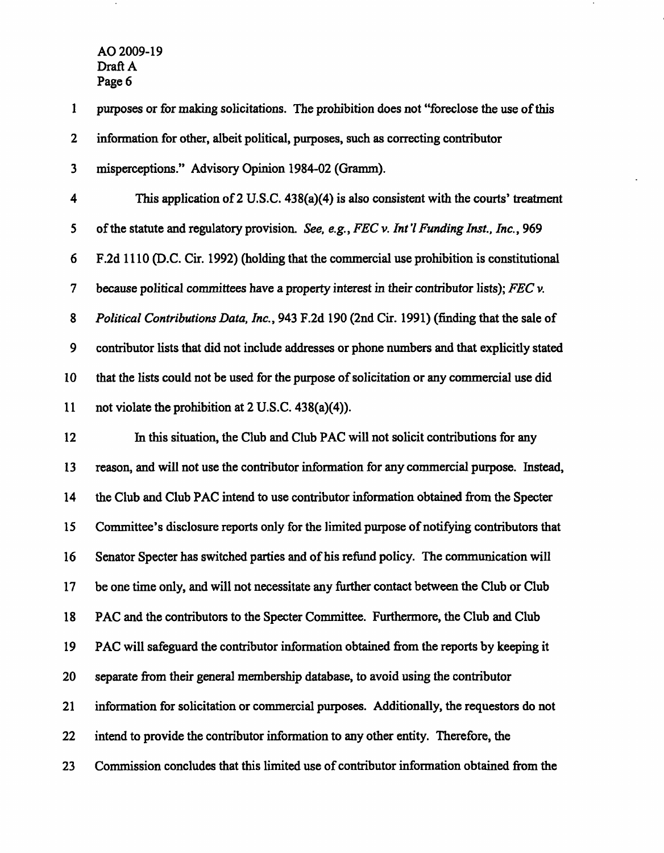$\sim 10$ 

| $\mathbf{1}$            | purposes or for making solicitations. The prohibition does not "foreclose the use of this        |
|-------------------------|--------------------------------------------------------------------------------------------------|
| $\mathbf 2$             | information for other, albeit political, purposes, such as correcting contributor                |
| $\overline{\mathbf{3}}$ | misperceptions." Advisory Opinion 1984-02 (Gramm).                                               |
| 4                       | This application of 2 U.S.C. $438(a)(4)$ is also consistent with the courts' treatment           |
| 5                       | of the statute and regulatory provision. See, e.g., FEC v. Int'l Funding Inst., Inc., 969        |
| 6                       | F.2d 1110 (D.C. Cir. 1992) (holding that the commercial use prohibition is constitutional        |
| 7                       | because political committees have a property interest in their contributor lists); $FEC$ $\nu$ . |
| 8                       | Political Contributions Data, Inc., 943 F.2d 190 (2nd Cir. 1991) (finding that the sale of       |
| 9                       | contributor lists that did not include addresses or phone numbers and that explicitly stated     |
| 10                      | that the lists could not be used for the purpose of solicitation or any commercial use did       |
| 11                      | not violate the prohibition at 2 U.S.C. 438(a)(4)).                                              |
| 12                      | In this situation, the Club and Club PAC will not solicit contributions for any                  |
| 13                      | reason, and will not use the contributor information for any commercial purpose. Instead,        |
| 14                      | the Club and Club PAC intend to use contributor information obtained from the Specter            |
| 15                      | Committee's disclosure reports only for the limited purpose of notifying contributors that       |
| 16                      | Senator Specter has switched parties and of his refund policy. The communication will            |
| 17                      | be one time only, and will not necessitate any further contact between the Club or Club          |
| 18                      | PAC and the contributors to the Specter Committee. Furthermore, the Club and Club                |
| 19                      | PAC will safeguard the contributor information obtained from the reports by keeping it           |
| 20                      | separate from their general membership database, to avoid using the contributor                  |
| 21                      | information for solicitation or commercial purposes. Additionally, the requestors do not         |
| 22                      | intend to provide the contributor information to any other entity. Therefore, the                |
| 23                      | Commission concludes that this limited use of contributor information obtained from the          |

 $\sim$ 

 $\blacksquare$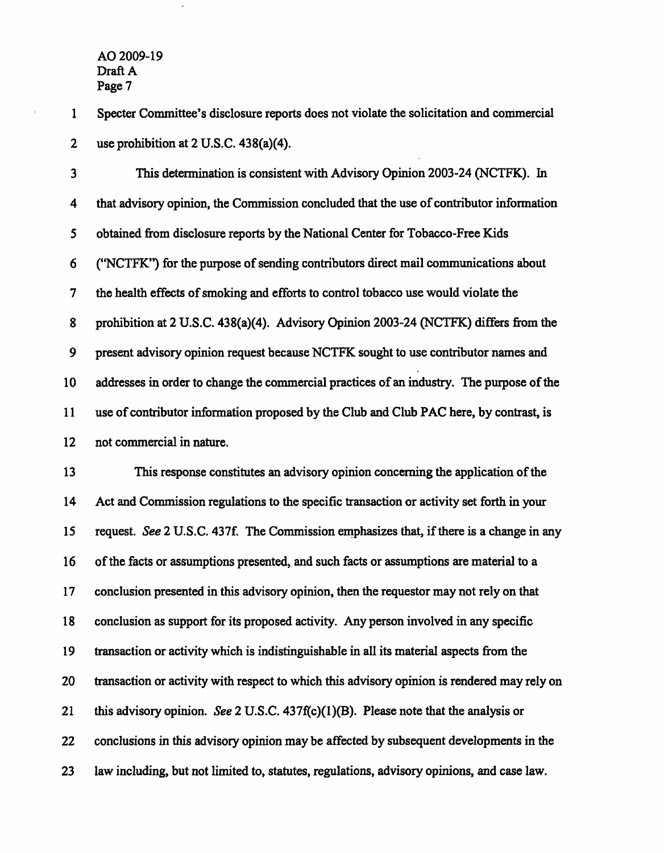1 Specter Committee's disclosure reports does not violate the solicitation and commercial 2 use prohibition at 2 U.S.C. 438(a)(4).

3 This determination is consistent with Advisory Opinion 2003-24 (NCTFK). In 4 that advisory opinion, the Commission concluded that the use of contributor information 5 obtained from disclosure reports by the National Center for Tobacco-Free Kids 6 ("NCTFK") for the purpose of sending contributors direct mail communications about 7 the health effects of smoking and efforts to control tobacco use would violate the 8 prohibition at 2 U.S.C. 438(a)(4). Advisory Opinion 2003-24 (NCTFK) differs from the 9 present advisory opinion request because NCTFK sought to use contributor names and 10 addresses in order to change the commercial practices of an industry. The purpose of the 11 use of contributor information proposed by the Club and Club PAC here, by contrast, is 12 not commercial in nature.

13 This response constitutes an advisory opinion concerning the application of the 14 Act and Commission regulations to the specific transaction or activity set forth in your 15 request. See 2 U.S.C. 437f. The Commission emphasizes that, if there is a change in any 16 of the facts or assumptions presented, and such facts or assumptions are material to a 17 conclusion presented in this advisory opinion, then the requestor may not rely on that 18 conclusion as support for its proposed activity. Any person involved in any specific 19 transaction or activity which is indistinguishable in all its material aspects from the 20 transaction or activity with respect to which this advisory opinion is rendered may rely on 21 this advisory opinion. See 2 U.S.C. 437f(c)(1)(B). Please note that the analysis or 22 conclusions in this advisory opinion may be affected by subsequent developments in the 23 law including, but not limited to, statutes, regulations, advisory opinions, and case law.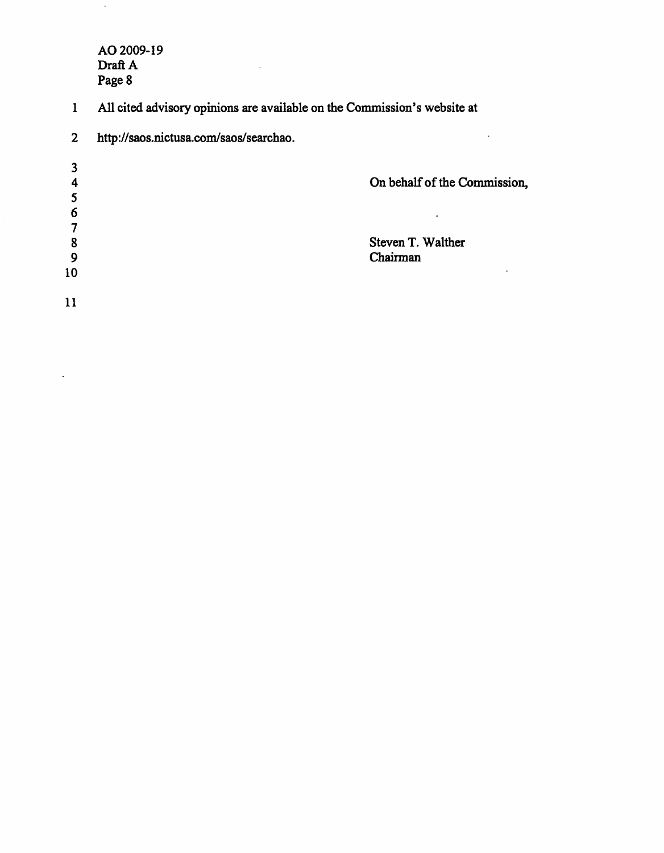$\hat{\boldsymbol{\gamma}}$ 

 $\mathbb{R}^2$ 

1 All cited advisory opinions are available on the Commission's website at

 $\sim$   $\sim$ 

| $\mathbf{2}$ | http://saos.nictusa.com/saos/searchao. |                              |
|--------------|----------------------------------------|------------------------------|
|              |                                        |                              |
|              |                                        | On behalf of the Commission, |
|              |                                        |                              |
| 6            |                                        | $\bullet$                    |
|              |                                        |                              |
| 8            |                                        | Steven T. Walther            |
| 9            |                                        | Chairman                     |
| 10           |                                        | ٠                            |
| 11           |                                        |                              |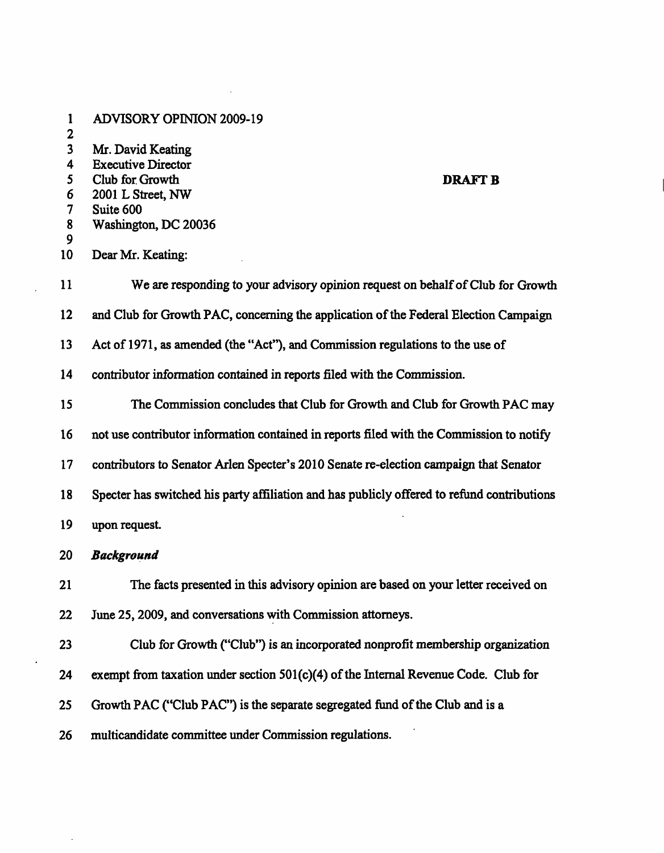| 1<br>$\mathbf 2$                                      | <b>ADVISORY OPINION 2009-19</b>                                                                                                               |
|-------------------------------------------------------|-----------------------------------------------------------------------------------------------------------------------------------------------|
| $\overline{\mathbf{3}}$<br>4<br>5<br>6<br>7<br>8<br>9 | Mr. David Keating<br><b>Executive Director</b><br>Club for Growth<br><b>DRAFT B</b><br>2001 L Street, NW<br>Suite 600<br>Washington, DC 20036 |
| 10                                                    | Dear Mr. Keating:                                                                                                                             |
| 11                                                    | We are responding to your advisory opinion request on behalf of Club for Growth                                                               |
| 12                                                    | and Club for Growth PAC, concerning the application of the Federal Election Campaign                                                          |
| 13                                                    | Act of 1971, as amended (the "Act"), and Commission regulations to the use of                                                                 |
| 14                                                    | contributor information contained in reports filed with the Commission.                                                                       |
| 15                                                    | The Commission concludes that Club for Growth and Club for Growth PAC may                                                                     |
| 16                                                    | not use contributor information contained in reports filed with the Commission to notify                                                      |
| 17                                                    | contributors to Senator Arlen Specter's 2010 Senate re-election campaign that Senator                                                         |
| 18                                                    | Specter has switched his party affiliation and has publicly offered to refund contributions                                                   |
| 19                                                    | upon request.                                                                                                                                 |
| 20                                                    | <b>Background</b>                                                                                                                             |
| 21                                                    | The facts presented in this advisory opinion are based on your letter received on                                                             |
| 22                                                    | June 25, 2009, and conversations with Commission attorneys.                                                                                   |
| 23                                                    | Club for Growth ("Club") is an incorporated nonprofit membership organization                                                                 |
| 24                                                    | exempt from taxation under section $501(c)(4)$ of the Internal Revenue Code. Club for                                                         |
| 25                                                    | Growth PAC ("Club PAC") is the separate segregated fund of the Club and is a                                                                  |
| 26                                                    | multicandidate committee under Commission regulations.                                                                                        |

 $\sim$ 

 $\mathcal{L}(\mathcal{L}^{\mathcal{L}}_{\mathcal{L}})$  and  $\mathcal{L}^{\mathcal{L}}_{\mathcal{L}}$  and  $\mathcal{L}^{\mathcal{L}}_{\mathcal{L}}$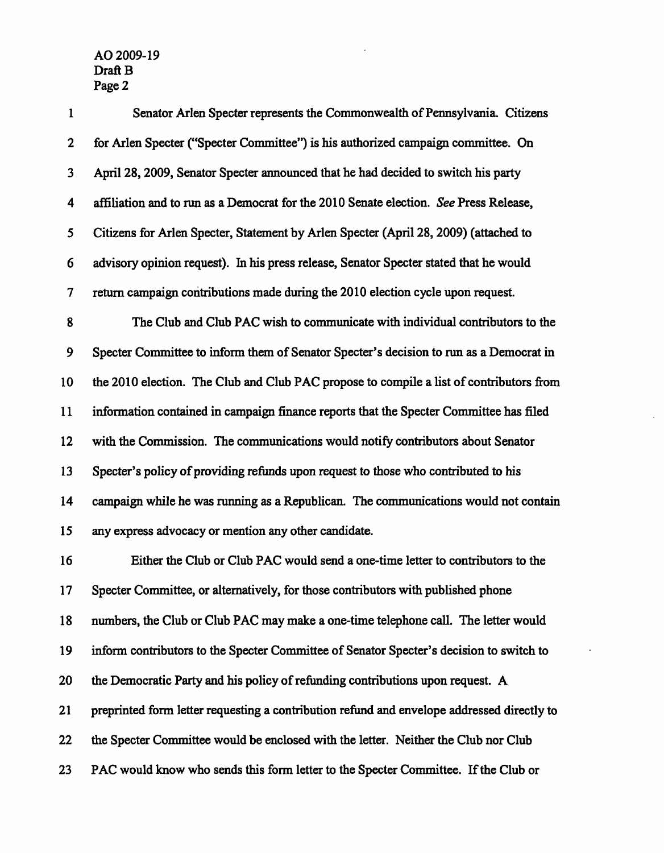| $\mathbf{1}$     | Senator Arlen Specter represents the Commonwealth of Pennsylvania. Citizens                |
|------------------|--------------------------------------------------------------------------------------------|
| $\boldsymbol{2}$ | for Arlen Specter ("Specter Committee") is his authorized campaign committee. On           |
| 3                | April 28, 2009, Senator Specter announced that he had decided to switch his party          |
| 4                | affiliation and to run as a Democrat for the 2010 Senate election. See Press Release,      |
| 5                | Citizens for Arlen Specter, Statement by Arlen Specter (April 28, 2009) (attached to       |
| 6                | advisory opinion request). In his press release, Senator Specter stated that he would      |
| 7                | return campaign contributions made during the 2010 election cycle upon request.            |
| 8                | The Club and Club PAC wish to communicate with individual contributors to the              |
| 9                | Specter Committee to inform them of Senator Specter's decision to run as a Democrat in     |
| 10               | the 2010 election. The Club and Club PAC propose to compile a list of contributors from    |
| 11               | information contained in campaign finance reports that the Specter Committee has filed     |
| 12               | with the Commission. The communications would notify contributors about Senator            |
| 13               | Specter's policy of providing refunds upon request to those who contributed to his         |
| 14               | campaign while he was running as a Republican. The communications would not contain        |
| 15               | any express advocacy or mention any other candidate.                                       |
| 16               | Either the Club or Club PAC would send a one-time letter to contributors to the            |
| 17 <sup>17</sup> | Specter Committee, or alternatively, for those contributors with published phone           |
| 18               | numbers, the Club or Club PAC may make a one-time telephone call. The letter would         |
| 19               | inform contributors to the Specter Committee of Senator Specter's decision to switch to    |
| 20               | the Democratic Party and his policy of refunding contributions upon request. A             |
| 21               | preprinted form letter requesting a contribution refund and envelope addressed directly to |
| 22               | the Specter Committee would be enclosed with the letter. Neither the Club nor Club         |
| 23               | PAC would know who sends this form letter to the Specter Committee. If the Club or         |

 $\hat{\mathcal{L}}$ 

L,

 $\bar{\mathcal{L}}$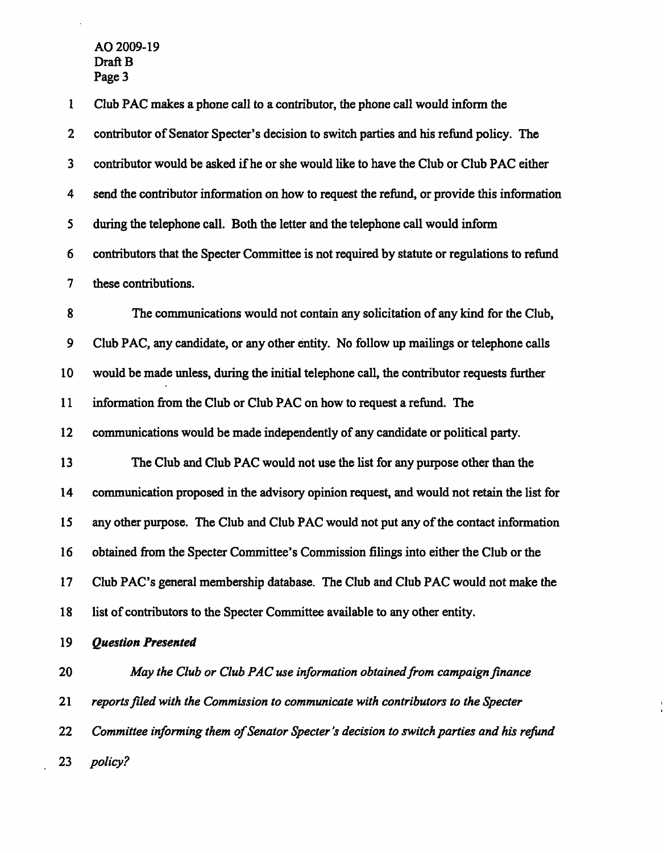$\hat{\mathcal{L}}$ 

| $\mathbf{1}$            | Club PAC makes a phone call to a contributor, the phone call would inform the               |
|-------------------------|---------------------------------------------------------------------------------------------|
| $\overline{2}$          | contributor of Senator Specter's decision to switch parties and his refund policy. The      |
| $\overline{\mathbf{3}}$ | contributor would be asked if he or she would like to have the Club or Club PAC either      |
| 4                       | send the contributor information on how to request the refund, or provide this information  |
| 5                       | during the telephone call. Both the letter and the telephone call would inform              |
| 6                       | contributors that the Specter Committee is not required by statute or regulations to refund |
| 7                       | these contributions.                                                                        |
| 8                       | The communications would not contain any solicitation of any kind for the Club,             |
| $\boldsymbol{9}$        | Club PAC, any candidate, or any other entity. No follow up mailings or telephone calls      |
| 10                      | would be made unless, during the initial telephone call, the contributor requests further   |
| 11                      | information from the Club or Club PAC on how to request a refund. The                       |
| 12                      | communications would be made independently of any candidate or political party.             |
| 13                      | The Club and Club PAC would not use the list for any purpose other than the                 |
| 14                      | communication proposed in the advisory opinion request, and would not retain the list for   |
| 15                      | any other purpose. The Club and Club PAC would not put any of the contact information       |
| 16                      | obtained from the Specter Committee's Commission filings into either the Club or the        |
| 17                      | Club PAC's general membership database. The Club and Club PAC would not make the            |
| 18                      | list of contributors to the Specter Committee available to any other entity.                |
| 19                      | <b>Question Presented</b>                                                                   |
| 20                      | May the Club or Club PAC use information obtained from campaign finance                     |
| 21                      | reports filed with the Commission to communicate with contributors to the Specter           |
| 22                      | Committee informing them of Senator Specter's decision to switch parties and his refund     |
| 23                      | policy?                                                                                     |

 $\frac{1}{1}$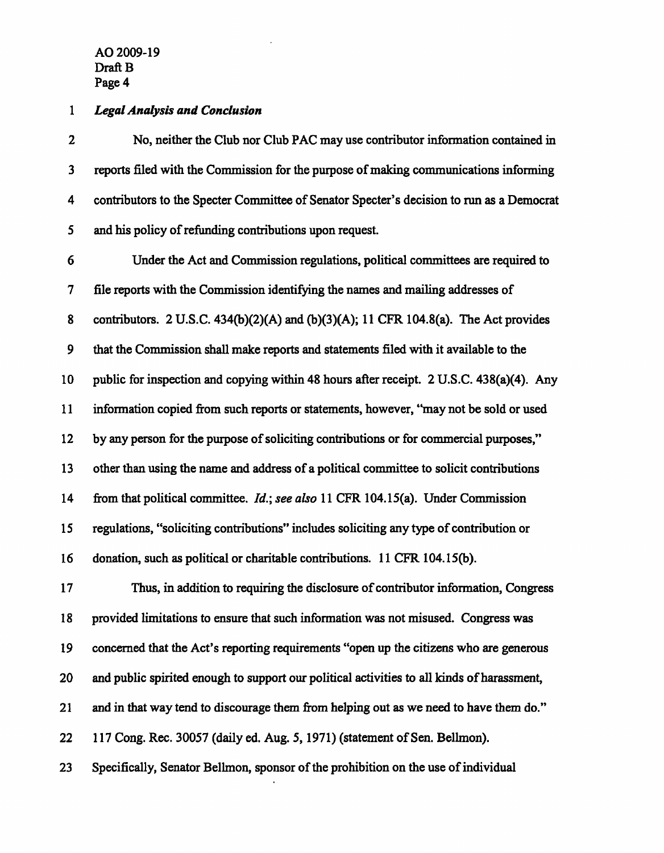## 1 Legal Analysis and Conclusion

2 No, neither the Club nor Club PAC may use contributor information contained in 3 reports filed with the Commission for the purpose of making communications informing 4 contributors to the Specter Committee of Senator Specter's decision to run as a Democrat 5 and his policy of refunding contributions upon request.

6 Under the Act and Commission regulations, political committees are required to 7 file reports with the Commission identifying the names and mailing addresses of 8 contributors. 2 U.S.C. 434(b)(2)(A) and (b)(3)(A); 11 CFR 104.8(a). The Act provides 9 that the Commission shall make reports and statements filed with it available to the 10 public for inspection and copying within 48 hours after receipt. 2 U.S.C. 438(a)(4). Any 11 information copied from such reports or statements, however, "may not be sold or used 12 by any person for the purpose of soliciting contributions or for commercial purposes," 13 other than using the name and address of a political committee to solicit contributions 14 from that political committee. *Id.*; see also 11 CFR 104.15(a). Under Commission 15 regulations, "soliciting contributions" includes soliciting any type of contribution or 16 donation, such as political or charitable contributions. 11 CFR 104.15(b).

17 Thus, in addition to requiring the disclosure of contributor information, Congress 18 provided limitations to ensure that such information was not misused. Congress was 19 concerned that the Act's reporting requirements "open up the citizens who are generous 20 and public spirited enough to support our political activities to all kinds of harassment, 21 and in that way tend to discourage them from helping out as we need to have them do." 22 117 Cong. Rec. 30057 (daily ed. Aug. 5,1971) (statement of Sen. Bellmon).

23 Specifically, Senator Bellmon, sponsor of the prohibition on the use of individual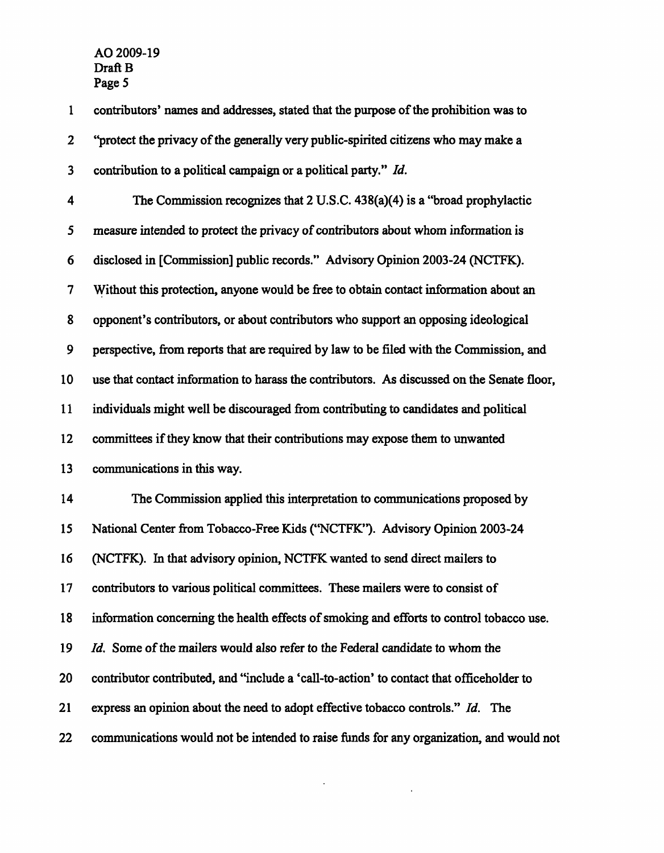| $\mathbf{1}$            | contributors' names and addresses, stated that the purpose of the prohibition was to       |
|-------------------------|--------------------------------------------------------------------------------------------|
| $\boldsymbol{2}$        | "protect the privacy of the generally very public-spirited citizens who may make a         |
| $\overline{\mathbf{3}}$ | contribution to a political campaign or a political party." Id.                            |
| 4                       | The Commission recognizes that $2 \text{ U.S.C. } 438(a)(4)$ is a "broad prophylactic      |
| 5                       | measure intended to protect the privacy of contributors about whom information is          |
| 6                       | disclosed in [Commission] public records." Advisory Opinion 2003-24 (NCTFK).               |
| 7                       | Without this protection, anyone would be free to obtain contact information about an       |
| 8                       | opponent's contributors, or about contributors who support an opposing ideological         |
| 9                       | perspective, from reports that are required by law to be filed with the Commission, and    |
| 10                      | use that contact information to harass the contributors. As discussed on the Senate floor, |
| 11                      | individuals might well be discouraged from contributing to candidates and political        |
| 12                      | committees if they know that their contributions may expose them to unwanted               |
| 13                      | communications in this way.                                                                |
| 14                      | The Commission applied this interpretation to communications proposed by                   |
| 15                      | National Center from Tobacco-Free Kids ("NCTFK"). Advisory Opinion 2003-24                 |
| 16                      | (NCTFK). In that advisory opinion, NCTFK wanted to send direct mailers to                  |
| 17                      | contributors to various political committees. These mailers were to consist of             |
| 18                      | information concerning the health effects of smoking and efforts to control tobacco use.   |
| 19                      | <i>Id.</i> Some of the mailers would also refer to the Federal candidate to whom the       |
| 20                      | contributor contributed, and "include a 'call-to-action' to contact that officeholder to   |
| 21                      | express an opinion about the need to adopt effective tobacco controls." Id. The            |
| 22                      | communications would not be intended to raise funds for any organization, and would not    |

 $\label{eq:2.1} \frac{1}{2} \sum_{i=1}^n \frac{1}{2} \sum_{j=1}^n \frac{1}{2} \sum_{j=1}^n \frac{1}{2} \sum_{j=1}^n \frac{1}{2} \sum_{j=1}^n \frac{1}{2} \sum_{j=1}^n \frac{1}{2} \sum_{j=1}^n \frac{1}{2} \sum_{j=1}^n \frac{1}{2} \sum_{j=1}^n \frac{1}{2} \sum_{j=1}^n \frac{1}{2} \sum_{j=1}^n \frac{1}{2} \sum_{j=1}^n \frac{1}{2} \sum_{j=1}^n \frac{$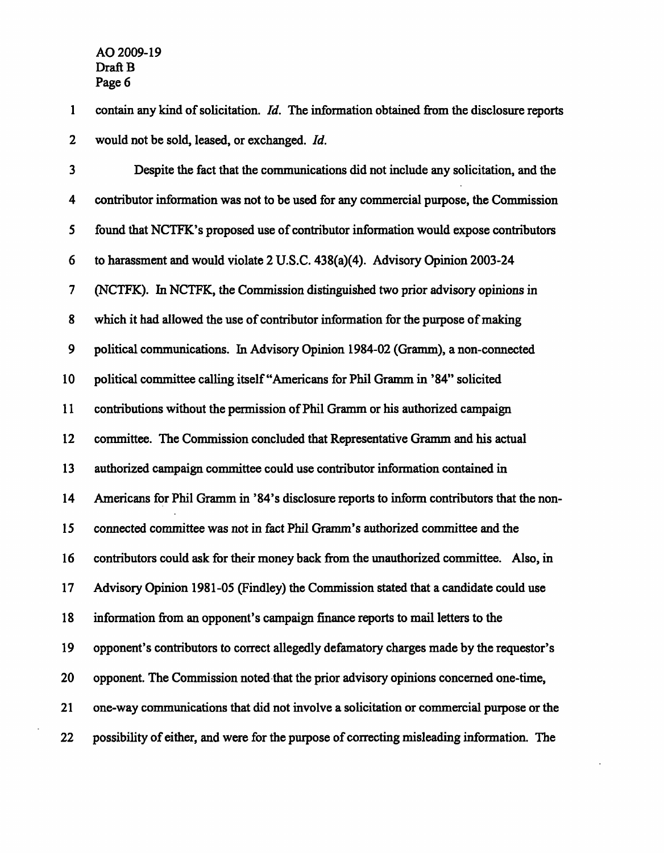1 contain any kind of solicitation. Id. The information obtained from the disclosure reports 2 would not be sold, leased, or exchanged. *Id.* 

3 Despite the fact that the communications did not include any solicitation, and the 4 contributor information was not to be used for any commercial purpose, the Commission 5 found that NCTFK's proposed use of contributor information would expose contributors 6 to harassment and would violate 2 U.S.C. 438(a)(4). Advisory Opinion 2003-24 7 (NCTFK). In NCTFK, the Commission distinguished two prior advisory opinions in 8 which it had allowed the use of contributor information for the purpose of making 9 political communications. In Advisory Opinion 1984-02 (Gramm), a non-connected 10 political committee calling itself "Americans for Phil Gramm in '84" solicited 11 contributions without the permission of Phil Gramm or his authorized campaign 12 committee. The Commission concluded that Representative Gramm and his actual 13 authorized campaign committee could use contributor information contained in 14 Americans for Phil Gramm in '84's disclosure reports to inform contributors that the non-15 connected committee was not in fact Phil Gramm's authorized committee and the 16 contributors could ask for their money back from the unauthorized committee. Also, in 17 Advisory Opinion 1981 -05 (Findley) the Commission stated that a candidate could use 18 information from an opponent's campaign finance reports to mail letters to the 19 opponent's contributors to correct allegedly defamatory charges made by the requestor's 20 opponent. The Commission noted that the prior advisory opinions concerned one-time, 21 one-way communications that did not involve a solicitation or commercial purpose or the 22 possibility of either, and were for the purpose of correcting misleading information. The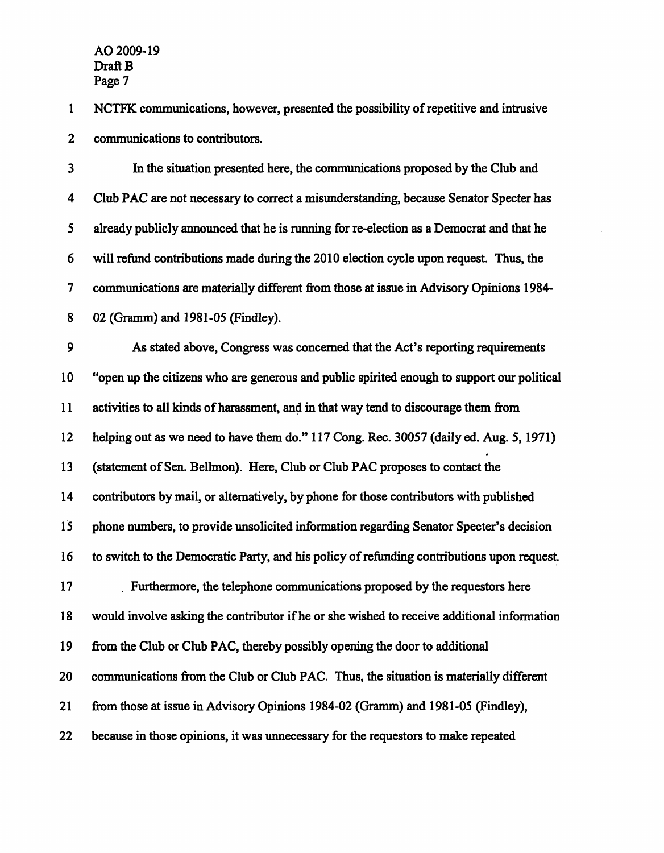1 NCTFK communications, however, presented the possibility of repetitive and intrusive 2 communications to contributors.

3 In the situation presented here, the communications proposed by the Club and 4 Club PAC are not necessary to correct a misunderstanding, because Senator Specter has 5 already publicly announced that he is running for re-election as a Democrat and that he 6 will refund contributions made during the 2010 election cycle upon request. Thus, the 7 communications are materially different from those at issue in Advisory Opinions 1984- 8 02 (Gramm) and 1981-05 (Findley).

9 As stated above, Congress was concerned that the Act's reporting requirements 10 "open up the citizens who are generous and public spirited enough to support our political 11 activities to all kinds of harassment, and in that way tend to discourage them from 12 helping out as we need to have them do." 117 Cong. Rec. 30057 (daily ed. Aug. 5, 1971) 13 (statement of Sen. Bellmon). Here, Club or Club PAC proposes to contact the 14 contributors by mail, or alternatively, by phone for those contributors with published 15 phone numbers, to provide unsolicited information regarding Senator Specter's decision 16 to switch to the Democratic Party, and his policy of refunding contributions upon request. 17 . Furthermore, the telephone communications proposed by the requestors here 18 would involve asking the contributor if he or she wished to receive additional information 19 from the Club or Club PAC, thereby possibly opening the door to additional 20 communications from the Club or Club PAC. Thus, the situation is materially different 21 from those at issue in Advisory Opinions 1984-02 (Gramm) and 1981-05 (Findley), 22 because in those opinions, it was unnecessary for the requestors to make repeated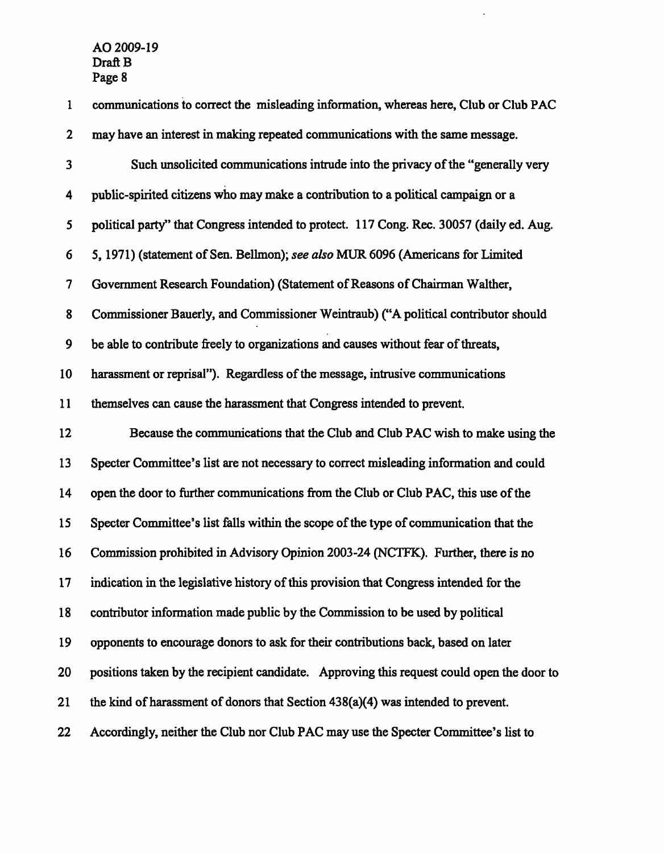| $\mathbf{1}$            | communications to correct the misleading information, whereas here, Club or Club PAC      |
|-------------------------|-------------------------------------------------------------------------------------------|
| $\mathbf{2}$            | may have an interest in making repeated communications with the same message.             |
| $\overline{\mathbf{3}}$ | Such unsolicited communications intrude into the privacy of the "generally very           |
| 4                       | public-spirited citizens who may make a contribution to a political campaign or a         |
| 5                       | political party" that Congress intended to protect. 117 Cong. Rec. 30057 (daily ed. Aug.  |
| 6                       | 5, 1971) (statement of Sen. Bellmon); see also MUR 6096 (Americans for Limited            |
| 7                       | Government Research Foundation) (Statement of Reasons of Chairman Walther,                |
| 8                       | Commissioner Bauerly, and Commissioner Weintraub) ("A political contributor should        |
| 9                       | be able to contribute freely to organizations and causes without fear of threats,         |
| 10                      | harassment or reprisal"). Regardless of the message, intrusive communications             |
| 11                      | themselves can cause the harassment that Congress intended to prevent.                    |
|                         |                                                                                           |
| 12                      | Because the communications that the Club and Club PAC wish to make using the              |
| 13                      | Specter Committee's list are not necessary to correct misleading information and could    |
| 14                      | open the door to further communications from the Club or Club PAC, this use of the        |
| 15                      | Specter Committee's list falls within the scope of the type of communication that the     |
| 16                      | Commission prohibited in Advisory Opinion 2003-24 (NCTFK). Further, there is no           |
| 17                      | indication in the legislative history of this provision that Congress intended for the    |
| 18                      | contributor information made public by the Commission to be used by political             |
| 19                      | opponents to encourage donors to ask for their contributions back, based on later         |
| 20                      | positions taken by the recipient candidate. Approving this request could open the door to |
| 21                      | the kind of harassment of donors that Section 438(a)(4) was intended to prevent.          |

 $\mathcal{L}^{\mathcal{L}}$